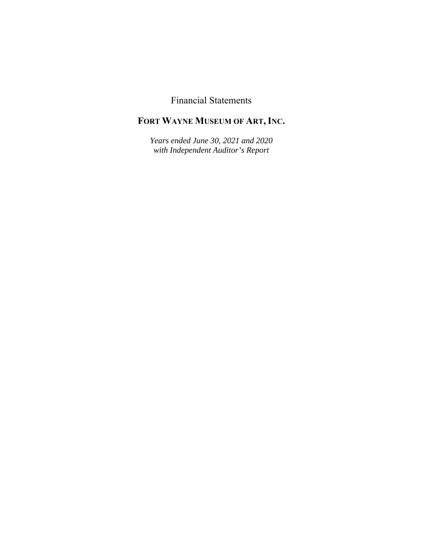## Financial Statements

# **FORT WAYNE MUSEUM OF ART, INC.**

*Years ended June 30, 2021 and 2020 with Independent Auditor's Report*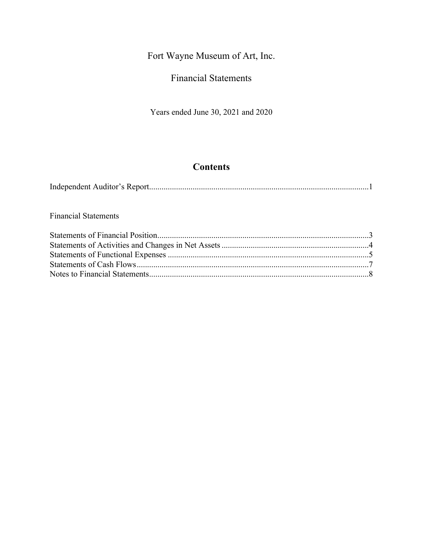## Financial Statements

Years ended June 30, 2021 and 2020

## **Contents**

## Financial Statements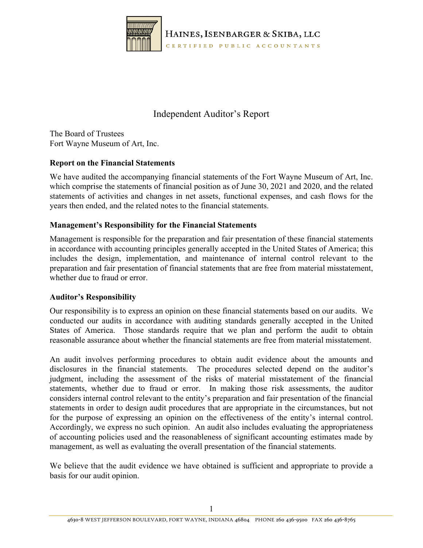

## Independent Auditor's Report

The Board of Trustees Fort Wayne Museum of Art, Inc.

#### **Report on the Financial Statements**

We have audited the accompanying financial statements of the Fort Wayne Museum of Art, Inc. which comprise the statements of financial position as of June 30, 2021 and 2020, and the related statements of activities and changes in net assets, functional expenses, and cash flows for the years then ended, and the related notes to the financial statements.

#### **Management's Responsibility for the Financial Statements**

Management is responsible for the preparation and fair presentation of these financial statements in accordance with accounting principles generally accepted in the United States of America; this includes the design, implementation, and maintenance of internal control relevant to the preparation and fair presentation of financial statements that are free from material misstatement, whether due to fraud or error.

#### **Auditor's Responsibility**

Our responsibility is to express an opinion on these financial statements based on our audits. We conducted our audits in accordance with auditing standards generally accepted in the United States of America. Those standards require that we plan and perform the audit to obtain reasonable assurance about whether the financial statements are free from material misstatement.

An audit involves performing procedures to obtain audit evidence about the amounts and disclosures in the financial statements. The procedures selected depend on the auditor's judgment, including the assessment of the risks of material misstatement of the financial statements, whether due to fraud or error. In making those risk assessments, the auditor considers internal control relevant to the entity's preparation and fair presentation of the financial statements in order to design audit procedures that are appropriate in the circumstances, but not for the purpose of expressing an opinion on the effectiveness of the entity's internal control. Accordingly, we express no such opinion. An audit also includes evaluating the appropriateness of accounting policies used and the reasonableness of significant accounting estimates made by management, as well as evaluating the overall presentation of the financial statements.

We believe that the audit evidence we have obtained is sufficient and appropriate to provide a basis for our audit opinion.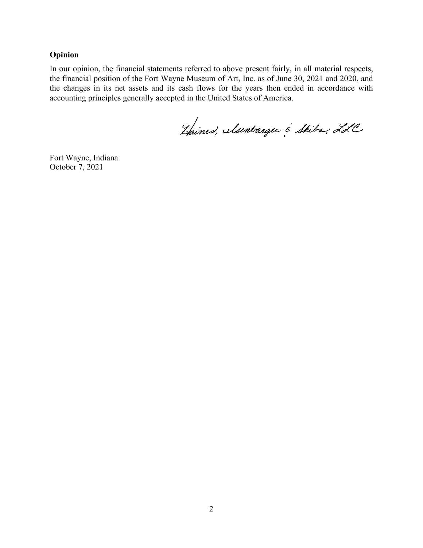#### **Opinion**

In our opinion, the financial statements referred to above present fairly, in all material respects, the financial position of the Fort Wayne Museum of Art, Inc. as of June 30, 2021 and 2020, and the changes in its net assets and its cash flows for the years then ended in accordance with accounting principles generally accepted in the United States of America.

Haines, Muntargu é Skiba, 22C

Fort Wayne, Indiana October 7, 2021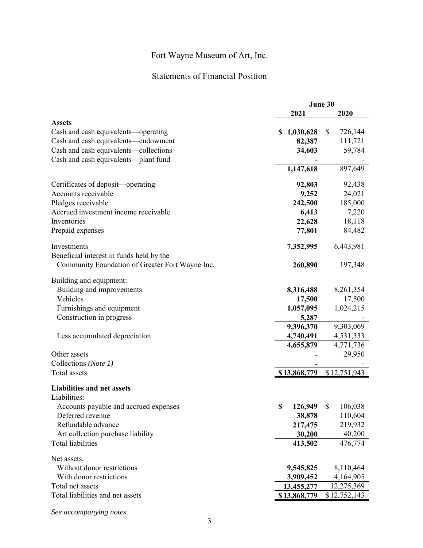## Statements of Financial Position

|                                                      | June 30 |              |    |              |
|------------------------------------------------------|---------|--------------|----|--------------|
|                                                      |         | 2021         |    | 2020         |
| <b>Assets</b>                                        |         |              |    |              |
| Cash and cash equivalents—operating                  |         | \$1,030,628  | \$ | 726,144      |
| Cash and cash equivalents—endowment                  |         | 82,387       |    | 111,721      |
| Cash and cash equivalents-collections                |         | 34,603       |    | 59,784       |
| Cash and cash equivalents—plant fund                 |         |              |    |              |
|                                                      |         | 1,147,618    |    | 897,649      |
| Certificates of deposit—operating                    |         | 92,803       |    | 92,438       |
| Accounts receivable                                  |         | 9,252        |    | 24,021       |
| Pledges receivable                                   |         | 242,500      |    | 185,000      |
| Accrued investment income receivable                 |         | 6,413        |    | 7,220        |
| Inventories                                          |         | 22,628       |    | 18,118       |
| Prepaid expenses                                     |         | 77,801       |    | 84,482       |
| Investments                                          |         | 7,352,995    |    | 6,443,981    |
| Beneficial interest in funds held by the             |         |              |    |              |
| Community Foundation of Greater Fort Wayne Inc.      |         | 260,890      |    | 197,348      |
| Building and equipment:                              |         |              |    |              |
| Building and improvements                            |         | 8,316,488    |    | 8,261,354    |
| Vehicles                                             |         | 17,500       |    | 17,500       |
| Furnishings and equipment                            |         | 1,057,095    |    | 1,024,215    |
| Construction in progress                             |         | 5,287        |    |              |
|                                                      |         | 9,396,370    |    | 9,303,069    |
| Less accumulated depreciation                        |         | 4,740,491    |    | 4,531,333    |
|                                                      |         | 4,655,879    |    | 4,771,736    |
| Other assets                                         |         |              |    | 29,950       |
| Collections (Note 1)                                 |         |              |    |              |
| Total assets                                         |         | \$13,868,779 |    | \$12,751,943 |
| <b>Liabilities and net assets</b>                    |         |              |    |              |
| Liabilities:                                         |         |              |    |              |
| Accounts payable and accrued expenses                | \$      | 126,949      | \$ | 106,038      |
| Deferred revenue                                     |         | 38,878       |    | 110,604      |
| Refundable advance                                   |         | 217,475      |    | 219,932      |
| Art collection purchase liability                    |         | 30,200       |    | 40,200       |
| <b>Total liabilities</b>                             |         | 413,502      |    | 476,774      |
| Net assets:<br>Without donor restrictions            |         |              |    |              |
|                                                      |         | 9,545,825    |    | 8,110,464    |
| With donor restrictions                              |         | 3,909,452    |    | 4,164,905    |
| Total net assets<br>Total liabilities and net assets |         | 13,455,277   |    | 12,275,369   |
|                                                      |         | \$13,868,779 |    | \$12,752,143 |

*See accompanying notes.*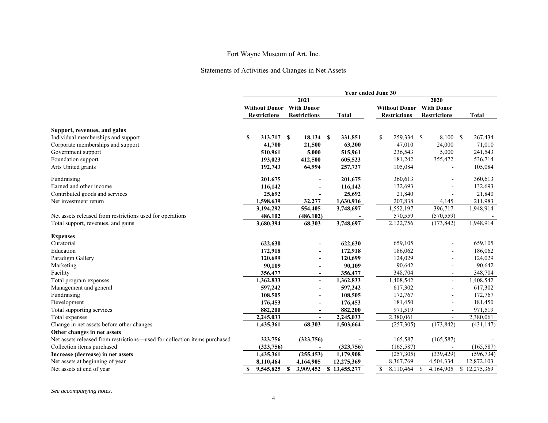#### Statements of Activities and Changes in Net Assets

|                                                                           | <b>Year ended June 30</b> |            |                     |                          |      |              |                      |                     |                          |      |              |
|---------------------------------------------------------------------------|---------------------------|------------|---------------------|--------------------------|------|--------------|----------------------|---------------------|--------------------------|------|--------------|
|                                                                           | 2021                      |            |                     |                          | 2020 |              |                      |                     |                          |      |              |
|                                                                           | <b>Without Donor</b>      |            | <b>With Donor</b>   |                          |      |              | <b>Without Donor</b> |                     | <b>With Donor</b>        |      |              |
|                                                                           | <b>Restrictions</b>       |            | <b>Restrictions</b> |                          |      | <b>Total</b> |                      | <b>Restrictions</b> | <b>Restrictions</b>      |      | <b>Total</b> |
| Support, revenues, and gains                                              |                           |            |                     |                          |      |              |                      |                     |                          |      |              |
| Individual memberships and support                                        | S                         | 313,717 \$ |                     | 18,134 \$                |      | 331,851      | \$                   | 259,334 \$          | 8,100                    | - \$ | 267,434      |
| Corporate memberships and support                                         |                           | 41,700     | 21,500              |                          |      | 63,200       |                      | 47,010              | 24,000                   |      | 71,010       |
| Government support                                                        |                           | 510,961    | 5,000               |                          |      | 515,961      |                      | 236,543             | 5,000                    |      | 241,543      |
| Foundation support                                                        |                           | 193,023    | 412,500             |                          |      | 605,523      |                      | 181,242             | 355,472                  |      | 536,714      |
| Arts United grants                                                        |                           | 192,743    | 64,994              |                          |      | 257,737      |                      | 105,084             |                          |      | 105,084      |
|                                                                           |                           |            |                     |                          |      |              |                      |                     |                          |      |              |
| Fundraising                                                               |                           | 201,675    |                     |                          |      | 201,675      |                      | 360,613             |                          |      | 360,613      |
| Earned and other income                                                   |                           | 116,142    |                     |                          |      | 116,142      |                      | 132,693             |                          |      | 132,693      |
| Contributed goods and services                                            |                           | 25,692     |                     |                          |      | 25,692       |                      | 21,840              |                          |      | 21,840       |
| Net investment return                                                     |                           | 1,598,639  | 32,277              |                          |      | 1,630,916    |                      | 207,838             | 4,145                    |      | 211,983      |
|                                                                           |                           | 3,194,292  | 554,405             |                          |      | 3,748,697    |                      | 1,552,197           | 396,717                  |      | 1,948,914    |
| Net assets released from restrictions used for operations                 |                           | 486,102    | (486, 102)          |                          |      |              |                      | 570,559             | (570, 559)               |      |              |
| Total support, revenues, and gains                                        |                           | 3,680,394  | 68,303              |                          |      | 3,748,697    |                      | 2,122,756           | (173, 842)               |      | 1,948,914    |
| <b>Expenses</b>                                                           |                           |            |                     |                          |      |              |                      |                     |                          |      |              |
| Curatorial                                                                |                           | 622,630    |                     |                          |      | 622,630      |                      | 659,105             |                          |      | 659,105      |
| Education                                                                 |                           | 172,918    |                     |                          |      | 172,918      |                      | 186,062             |                          |      | 186,062      |
| Paradigm Gallery                                                          |                           | 120,699    |                     |                          |      | 120,699      |                      | 124,029             |                          |      | 124,029      |
| Marketing                                                                 |                           | 90,109     |                     |                          |      | 90,109       |                      | 90,642              |                          |      | 90,642       |
| Facility                                                                  |                           | 356,477    |                     | $\blacksquare$           |      | 356,477      |                      | 348,704             | $\overline{\phantom{a}}$ |      | 348,704      |
| Total program expenses                                                    |                           | 1,362,833  |                     | $\overline{\phantom{a}}$ |      | 1,362,833    |                      | 1,408,542           | $\overline{\phantom{a}}$ |      | 1,408,542    |
| Management and general                                                    |                           | 597,242    |                     | $\overline{\phantom{a}}$ |      | 597,242      |                      | 617,302             | $\blacksquare$           |      | 617,302      |
| Fundraising                                                               |                           | 108,505    |                     |                          |      | 108,505      |                      | 172,767             | -                        |      | 172,767      |
| Development                                                               |                           | 176,453    |                     | $\blacksquare$           |      | 176,453      |                      | 181,450             | $\blacksquare$           |      | 181,450      |
| Total supporting services                                                 |                           | 882,200    |                     | $\overline{\phantom{a}}$ |      | 882,200      |                      | 971,519             |                          |      | 971,519      |
| Total expenses                                                            |                           | 2,245,033  |                     |                          |      | 2,245,033    |                      | 2,380,061           |                          |      | 2,380,061    |
| Change in net assets before other changes                                 |                           | 1,435,361  | 68,303              |                          |      | 1,503,664    |                      | (257, 305)          | (173, 842)               |      | (431, 147)   |
| Other changes in net assets                                               |                           |            |                     |                          |      |              |                      |                     |                          |      |              |
| Net assets released from restrictions-used for collection items purchased |                           | 323,756    | (323, 756)          |                          |      |              |                      | 165,587             | (165, 587)               |      |              |
| Collection items purchased                                                |                           | (323, 756) |                     |                          |      | (323, 756)   |                      | (165, 587)          |                          |      | (165, 587)   |
| Increase (decrease) in net assets                                         |                           | 1,435,361  | (255, 453)          |                          |      | 1,179,908    |                      | (257,305)           | (339, 429)               |      | (596, 734)   |
| Net assets at beginning of year                                           |                           | 8,110,464  | 4,164,905           |                          |      | 12,275,369   |                      | 8,367,769           | 4,504,334                |      | 12,872,103   |
| Net assets at end of year                                                 | \$.                       | 9,545,825  | 3,909,452           |                          |      | \$13,455,277 | $\mathbb{S}$         | 8,110,464           | 4,164,905                | S.   | 12,275,369   |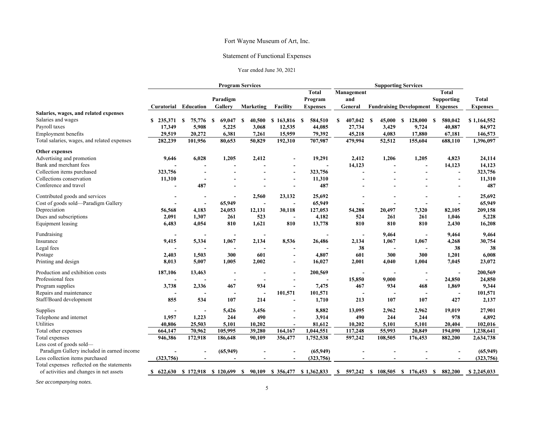#### Statement of Functional Expenses

#### Year ended June 30, 2021

|                                                                                       |                             |                         |                          | <b>Program Services</b>  |                          |                 |                                                                                                                             |                        |                                |                          |                 |
|---------------------------------------------------------------------------------------|-----------------------------|-------------------------|--------------------------|--------------------------|--------------------------|-----------------|-----------------------------------------------------------------------------------------------------------------------------|------------------------|--------------------------------|--------------------------|-----------------|
|                                                                                       |                             |                         |                          |                          |                          | <b>Total</b>    | Management                                                                                                                  |                        |                                | <b>Total</b>             |                 |
|                                                                                       |                             |                         | Paradigm                 |                          |                          | Program         | and                                                                                                                         |                        |                                | Supporting               | <b>Total</b>    |
|                                                                                       | <b>Curatorial Education</b> |                         | Gallery                  | <b>Marketing</b>         | Facility                 | <b>Expenses</b> | General                                                                                                                     |                        | <b>Fundraising Development</b> | <b>Expenses</b>          | <b>Expenses</b> |
| Salaries, wages, and related expenses                                                 |                             |                         |                          |                          |                          |                 |                                                                                                                             |                        |                                |                          |                 |
| Salaries and wages                                                                    | \$235,371                   | <sup>\$</sup><br>75,776 | 69,047<br>-S             | 40,500<br>- \$           | \$163,816                | 584,510<br>- \$ | 407,042<br>S.                                                                                                               | <sup>S</sup><br>45,000 | $\mathbf{s}$<br>128,000        | S<br>580,042             | \$1,164,552     |
| Payroll taxes                                                                         | 17,349                      | 5,908                   | 5,225                    | 3,068                    | 12,535                   | 44,085          | 27,734                                                                                                                      | 3,429                  | 9,724                          | 40,887                   | 84,972          |
| <b>Employment</b> benefits                                                            | 29,519                      | 20,272                  | 6,381                    | 7,261                    | 15,959                   | 79,392          | 45,218                                                                                                                      | 4,083                  | 17,880                         | 67,181                   | 146,573         |
| Total salaries, wages, and related expenses                                           | 282,239                     | 101,956                 | 80,653                   | 50,829                   | 192,310                  | 707,987         | 479,994                                                                                                                     | 52,512                 | 155,604                        | 688,110                  | 1,396,097       |
| Other expenses                                                                        |                             |                         |                          |                          |                          |                 |                                                                                                                             |                        |                                |                          |                 |
| Advertising and promotion                                                             | 9,646                       | 6,028                   | 1,205                    | 2,412                    |                          | 19,291          | 2,412                                                                                                                       | 1,206                  | 1,205                          | 4.823                    | 24,114          |
| Bank and merchant fees                                                                |                             |                         |                          |                          |                          | $\sim$          | 14,123                                                                                                                      |                        | $\overline{\phantom{a}}$       | 14,123                   | 14,123          |
| Collection items purchased                                                            | 323,756                     | L.                      |                          |                          | $\overline{\phantom{a}}$ | 323,756         | $\overline{\phantom{a}}$                                                                                                    |                        | $\overline{\phantom{a}}$       | $\overline{\phantom{a}}$ | 323,756         |
| Collections conservation                                                              | 11,310                      | $\blacksquare$          |                          |                          |                          | 11,310          | ۰                                                                                                                           |                        |                                | $\blacksquare$           | 11,310          |
| Conference and travel                                                                 | $\overline{\phantom{a}}$    | 487                     |                          |                          |                          | 487             |                                                                                                                             |                        |                                |                          | 487             |
| Contributed goods and services                                                        | $\overline{\phantom{a}}$    |                         |                          | 2,560                    | 23,132                   | 25,692          |                                                                                                                             |                        |                                | $\blacksquare$           | 25,692          |
| Cost of goods sold-Paradigm Gallery                                                   |                             | $\blacksquare$          | 65,949                   | $\overline{a}$           |                          | 65,949          | $\overline{\phantom{a}}$                                                                                                    |                        | $\overline{\phantom{a}}$       | $\blacksquare$           | 65,949          |
| Depreciation                                                                          | 56,568                      | 4,183                   | 24,053                   | 12,131                   | 30,118                   | 127,053         | 54,288                                                                                                                      | 20,497                 | 7,320                          | 82,105                   | 209,158         |
| Dues and subscriptions                                                                | 2,091                       | 1,307                   | 261                      | 523                      |                          | 4,182           | 524                                                                                                                         | 261                    | 261                            | 1,046                    | 5,228           |
| Equipment leasing                                                                     | 6,483                       | 4,054                   | 810                      | 1,621                    | 810                      | 13,778          | 810                                                                                                                         | 810                    | 810                            | 2,430                    | 16,208          |
| Fundraising                                                                           |                             | $\blacksquare$          | $\overline{\phantom{a}}$ | $\blacksquare$           |                          | ٠               | ٠                                                                                                                           | 9,464                  | $\blacksquare$                 | 9,464                    | 9,464           |
| Insurance                                                                             | 9,415                       | 5,334                   | 1,067                    | 2,134                    | 8,536                    | 26,486          | 2,134                                                                                                                       | 1,067                  | 1,067                          | 4,268                    | 30,754          |
| Legal fees                                                                            |                             |                         |                          |                          |                          |                 | 38                                                                                                                          |                        |                                | 38                       | 38              |
| Postage                                                                               | 2,403                       | 1,503                   | 300                      | 601                      | $\sim$                   | 4,807           | 601                                                                                                                         | 300                    | 300                            | 1,201                    | 6,008           |
| Printing and design                                                                   | 8,013                       | 5,007                   | 1,005                    | 2,002                    |                          | 16,027          | 2,001                                                                                                                       | 4,040                  | 1,004                          | 7,045                    | 23,072          |
| Production and exhibition costs                                                       | 187,106                     | 13,463                  | $\overline{\phantom{a}}$ |                          |                          | 200,569         |                                                                                                                             |                        | $\overline{\phantom{a}}$       |                          | 200,569         |
| Professional fees                                                                     |                             |                         | $\overline{\phantom{a}}$ | $\blacksquare$           |                          | $\overline{a}$  | 15,850                                                                                                                      | 9,000                  | $\sim$                         | 24,850                   | 24,850          |
| Program supplies                                                                      | 3,738                       | 2,336                   | 467                      | 934                      |                          | 7,475           | 467                                                                                                                         | 934                    | 468                            | 1,869                    | 9,344           |
| Repairs and maintenance                                                               |                             |                         |                          | $\blacksquare$           | 101,571                  | 101,571         |                                                                                                                             |                        | $\overline{\phantom{a}}$       |                          | 101,571         |
| Staff/Board development                                                               | 855                         | 534                     | 107                      | 214                      |                          | 1,710           | 213                                                                                                                         | 107                    | 107                            | 427                      | 2,137           |
| Supplies                                                                              | $\overline{\phantom{a}}$    | $\blacksquare$          | 5,426                    | 3,456                    |                          | 8,882           | 13,095                                                                                                                      | 2,962                  | 2,962                          | 19,019                   | 27,901          |
| Telephone and internet                                                                | 1,957                       | 1,223                   | 244                      | 490                      |                          | 3,914           | 490                                                                                                                         | 244                    | 244                            | 978                      | 4,892           |
| Utilities                                                                             | 40,806                      | 25,503                  | 5,101                    | 10,202                   |                          | 81,612          | 10,202                                                                                                                      | 5,101                  | 5,101                          | 20,404                   | 102,016         |
| Total other expenses                                                                  | 664,147                     | 70,962                  | 105,995                  | 39,280                   | 164,167                  | 1,044,551       | 117,248                                                                                                                     | 55,993                 | 20,849                         | 194,090                  | 1,238,641       |
| Total expenses                                                                        | 946,386                     | 172,918                 | 186,648                  | 90,109                   | 356,477                  | 1,752,538       | 597,242                                                                                                                     | 108,505                | 176,453                        | 882,200                  | 2,634,738       |
| Less cost of goods sold-                                                              |                             |                         |                          |                          |                          |                 |                                                                                                                             |                        |                                |                          |                 |
| Paradigm Gallery included in earned income                                            | $\overline{\phantom{a}}$    |                         | (65, 949)                |                          |                          | (65, 949)       |                                                                                                                             |                        |                                |                          | (65, 949)       |
| Less collection items purchased                                                       | (323,756)                   |                         | $\overline{\phantom{a}}$ | $\overline{\phantom{a}}$ |                          | (323,756)       |                                                                                                                             |                        | $\overline{\phantom{0}}$       | $\overline{\phantom{a}}$ | (323, 756)      |
| Total expenses reflected on the statements<br>of activities and changes in net assets |                             |                         |                          |                          |                          |                 | \$ 622,630 \$ 172,918 \$ 120,699 \$ 90,109 \$ 356,477 \$ 1,362,833 \$ 597,242 \$ 108,505 \$ 176,453 \$ 882,200 \$ 2,245,033 |                        |                                |                          |                 |
|                                                                                       |                             |                         |                          |                          |                          |                 |                                                                                                                             |                        |                                |                          |                 |

*See accompanying notes.*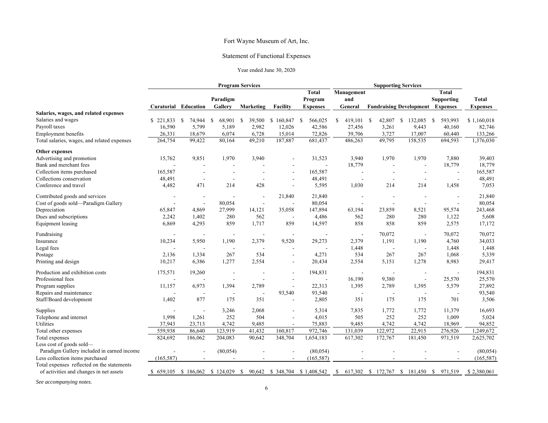#### Statement of Functional Expenses

#### Year ended June 30, 2020

|                                                                                       | <b>Supporting Services</b><br><b>Program Services</b> |                 |                          |                        |                          |                                                                    |                          |                          |                                          |                          |                 |
|---------------------------------------------------------------------------------------|-------------------------------------------------------|-----------------|--------------------------|------------------------|--------------------------|--------------------------------------------------------------------|--------------------------|--------------------------|------------------------------------------|--------------------------|-----------------|
|                                                                                       |                                                       |                 |                          |                        |                          | Total                                                              | Management               |                          |                                          | <b>Total</b>             |                 |
|                                                                                       |                                                       |                 | Paradigm                 |                        |                          | Program                                                            | and                      |                          |                                          | <b>Supporting</b>        | <b>Total</b>    |
|                                                                                       | <b>Curatorial Education</b>                           |                 | Gallery                  | Marketing              | Facility                 | <b>Expenses</b>                                                    | General                  |                          | <b>Fundraising Development Expenses</b>  |                          | <b>Expenses</b> |
| Salaries, wages, and related expenses                                                 |                                                       |                 |                          |                        |                          |                                                                    |                          |                          |                                          |                          |                 |
| Salaries and wages                                                                    | \$221,833                                             | 74,944 \$<br>-S | 68,901                   | <sup>S</sup><br>39,500 | \$160,847                | 566,025<br><sup>S</sup>                                            | 419,101<br>S.            | <sup>\$</sup><br>42,807  | <sup>S</sup><br>132,085                  | 593,993<br>- \$          | \$1,160,018     |
| Payroll taxes                                                                         | 16,590                                                | 5,799           | 5,189                    | 2,982                  | 12,026                   | 42,586                                                             | 27,456                   | 3,261                    | 9,443                                    | 40,160                   | 82,746          |
| <b>Employment benefits</b>                                                            | 26,331                                                | 18,679          | 6,074                    | 6,728                  | 15,014                   | 72,826                                                             | 39,706                   | 3,727                    | 17,007                                   | 60,440                   | 133,266         |
| Total salaries, wages, and related expenses                                           | 264,754                                               | 99,422          | 80,164                   | 49,210                 | 187,887                  | 681,437                                                            | 486,263                  | 49,795                   | 158,535                                  | 694,593                  | 1,376,030       |
| Other expenses                                                                        |                                                       |                 |                          |                        |                          |                                                                    |                          |                          |                                          |                          |                 |
| Advertising and promotion                                                             | 15,762                                                | 9,851           | 1,970                    | 3,940                  |                          | 31,523                                                             | 3,940                    | 1,970                    | 1,970                                    | 7,880                    | 39,403          |
| Bank and merchant fees                                                                | $\sim$                                                | $\sim$          | $\overline{\phantom{a}}$ | ä,                     |                          | $\sim$                                                             | 18,779                   | $\sim$                   | $\sim$                                   | 18,779                   | 18,779          |
| Collection items purchased                                                            | 165,587                                               |                 | $\overline{\phantom{a}}$ |                        | $\overline{\phantom{a}}$ | 165,587                                                            | $\overline{\phantom{a}}$ | $\sim$                   | $\overline{a}$                           | $\sim$                   | 165,587         |
| Collections conservation                                                              | 48,491                                                |                 | $\overline{\phantom{a}}$ |                        |                          | 48,491                                                             |                          |                          |                                          | $\overline{\phantom{a}}$ | 48,491          |
| Conference and travel                                                                 | 4,482                                                 | 471             | 214                      | 428                    |                          | 5,595                                                              | 1,030                    | 214                      | 214                                      | 1,458                    | 7,053           |
| Contributed goods and services                                                        |                                                       |                 |                          | $\blacksquare$         | 21,840                   | 21,840                                                             | L,                       |                          | ÷.                                       | $\overline{\phantom{a}}$ | 21,840          |
| Cost of goods sold—Paradigm Gallery                                                   | $\overline{\phantom{a}}$                              | $\sim$          | 80,054                   | ÷,                     |                          | 80,054                                                             |                          |                          |                                          | $\sim$                   | 80,054          |
| Depreciation                                                                          | 65,847                                                | 4,869           | 27,999                   | 14,121                 | 35,058                   | 147,894                                                            | 63,194                   | 23,859                   | 8,521                                    | 95,574                   | 243,468         |
| Dues and subscriptions                                                                | 2,242                                                 | 1,402           | 280                      | 562                    | $\overline{a}$           | 4,486                                                              | 562                      | 280                      | 280                                      | 1,122                    | 5,608           |
| Equipment leasing                                                                     | 6,869                                                 | 4,293           | 859                      | 1,717                  | 859                      | 14,597                                                             | 858                      | 858                      | 859                                      | 2,575                    | 17,172          |
| Fundraising                                                                           | $\sim$                                                | ÷.              | $\overline{\phantom{a}}$ | ÷,                     | ÷.                       | $\sim$                                                             | $\blacksquare$           | 70,072                   | $\overline{a}$                           | 70,072                   | 70,072          |
| Insurance                                                                             | 10,234                                                | 5,950           | 1,190                    | 2,379                  | 9,520                    | 29,273                                                             | 2,379                    | 1,191                    | 1,190                                    | 4,760                    | 34,033          |
| Legal fees                                                                            |                                                       |                 |                          | ÷,                     |                          |                                                                    | 1,448                    | $\sim$                   | ÷.                                       | 1,448                    | 1,448           |
| Postage                                                                               | 2,136                                                 | 1,334           | 267                      | 534                    | $\overline{\phantom{a}}$ | 4,271                                                              | 534                      | 267                      | 267                                      | 1,068                    | 5,339           |
| Printing and design                                                                   | 10,217                                                | 6,386           | 1,277                    | 2,554                  |                          | 20,434                                                             | 2,554                    | 5,151                    | 1,278                                    | 8,983                    | 29,417          |
| Production and exhibition costs                                                       | 175,571                                               | 19,260          | $\overline{\phantom{a}}$ |                        |                          | 194,831                                                            |                          |                          | ÷.                                       | $\overline{\phantom{a}}$ | 194,831         |
| Professional fees                                                                     |                                                       |                 | $\overline{\phantom{a}}$ | ٠                      | ÷                        | $\overline{a}$                                                     | 16,190                   | 9,380                    | ÷.                                       | 25,570                   | 25,570          |
| Program supplies                                                                      | 11,157                                                | 6,973           | 1,394                    | 2,789                  |                          | 22,313                                                             | 1,395                    | 2,789                    | 1,395                                    | 5,579                    | 27,892          |
| Repairs and maintenance                                                               |                                                       |                 | $\overline{\phantom{a}}$ |                        | 93,540                   | 93,540                                                             | $\overline{\phantom{a}}$ |                          | $\overline{a}$                           | $\overline{\phantom{a}}$ | 93,540          |
| Staff/Board development                                                               | 1,402                                                 | 877             | 175                      | 351                    |                          | 2,805                                                              | 351                      | 175                      | 175                                      | 701                      | 3,506           |
| Supplies                                                                              |                                                       |                 | 3,246                    | 2,068                  |                          | 5,314                                                              | 7,835                    | 1,772                    | 1,772                                    | 11,379                   | 16,693          |
| Telephone and internet                                                                | 1,998                                                 | 1,261           | 252                      | 504                    |                          | 4,015                                                              | 505                      | 252                      | 252                                      | 1,009                    | 5,024           |
| Utilities                                                                             | 37,943                                                | 23,713          | 4,742                    | 9,485                  |                          | 75,883                                                             | 9,485                    | 4,742                    | 4,742                                    | 18,969                   | 94,852          |
| Total other expenses                                                                  | 559,938                                               | 86,640          | 123,919                  | 41,432                 | 160,817                  | 972,746                                                            | 131,039                  | 122,972                  | 22,915                                   | 276,926                  | 1,249,672       |
| Total expenses                                                                        | 824,692                                               | 186,062         | 204,083                  | 90,642                 | 348,704                  | 1,654,183                                                          | 617,302                  | 172,767                  | 181,450                                  | 971,519                  | 2,625,702       |
| Less cost of goods sold-                                                              |                                                       |                 |                          |                        |                          |                                                                    |                          |                          |                                          |                          |                 |
| Paradigm Gallery included in earned income                                            |                                                       |                 | (80, 054)                |                        |                          | (80, 054)                                                          |                          |                          |                                          |                          | (80, 054)       |
| Less collection items purchased                                                       | (165, 587)                                            |                 | $\sim$                   | $\blacksquare$         | $\overline{\phantom{a}}$ | (165, 587)                                                         |                          | $\overline{\phantom{a}}$ | $\overline{\phantom{a}}$                 | $\sim$                   | (165, 587)      |
| Total expenses reflected on the statements<br>of activities and changes in net assets |                                                       |                 |                          |                        |                          | \$ 659,105 \$ 186,062 \$ 124,029 \$ 90,642 \$ 348,704 \$ 1,408,542 | S.                       |                          | 617,302 \$ 172,767 \$ 181,450 \$ 971,519 |                          | \$2,380,061     |
|                                                                                       |                                                       |                 |                          |                        |                          |                                                                    |                          |                          |                                          |                          |                 |

*See accompanying notes.*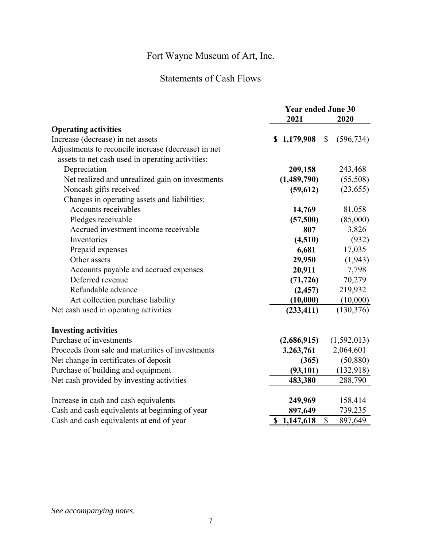## Statements of Cash Flows

|                                                     | <b>Year ended June 30</b> |                         |  |  |
|-----------------------------------------------------|---------------------------|-------------------------|--|--|
|                                                     | 2021                      | 2020                    |  |  |
| <b>Operating activities</b>                         |                           |                         |  |  |
| Increase (decrease) in net assets                   | \$1,179,908               | (596, 734)<br>\$        |  |  |
| Adjustments to reconcile increase (decrease) in net |                           |                         |  |  |
| assets to net cash used in operating activities:    |                           |                         |  |  |
| Depreciation                                        | 209,158                   | 243,468                 |  |  |
| Net realized and unrealized gain on investments     | (1,489,790)               | (55,508)                |  |  |
| Noncash gifts received                              | (59, 612)                 | (23, 655)               |  |  |
| Changes in operating assets and liabilities:        |                           |                         |  |  |
| Accounts receivables                                | 14,769                    | 81,058                  |  |  |
| Pledges receivable                                  | (57,500)                  | (85,000)                |  |  |
| Accrued investment income receivable                | 807                       | 3,826                   |  |  |
| Inventories                                         | (4,510)                   | (932)                   |  |  |
| Prepaid expenses                                    | 6,681                     | 17,035                  |  |  |
| Other assets                                        | 29,950                    | (1, 943)                |  |  |
| Accounts payable and accrued expenses               | 20,911                    | 7,798                   |  |  |
| Deferred revenue                                    | (71, 726)                 | 70,279                  |  |  |
| Refundable advance                                  | (2, 457)                  | 219,932                 |  |  |
| Art collection purchase liability                   | (10,000)                  | (10,000)                |  |  |
| Net cash used in operating activities               | (233, 411)                | (130, 376)              |  |  |
| <b>Investing activities</b>                         |                           |                         |  |  |
| Purchase of investments                             | (2,686,915)               | (1,592,013)             |  |  |
| Proceeds from sale and maturities of investments    | 3,263,761                 | 2,064,601               |  |  |
| Net change in certificates of deposit               | (365)                     | (50, 880)               |  |  |
| Purchase of building and equipment                  | (93, 101)                 | (132,918)               |  |  |
| Net cash provided by investing activities           | 483,380                   | 288,790                 |  |  |
| Increase in cash and cash equivalents               | 249,969                   | 158,414                 |  |  |
| Cash and cash equivalents at beginning of year      | 897,649                   | 739,235                 |  |  |
| Cash and cash equivalents at end of year            | <b>S</b><br>1,147,618     | $\mathbb{S}$<br>897,649 |  |  |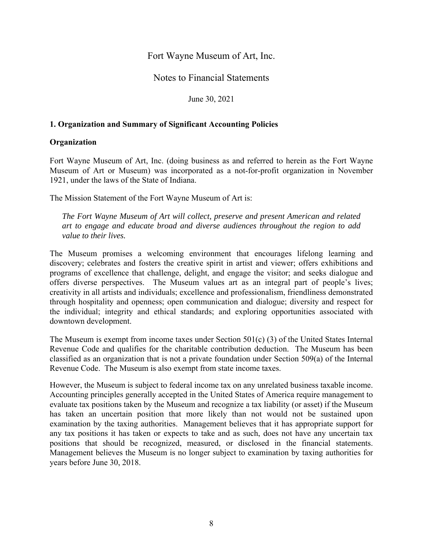## Notes to Financial Statements

June 30, 2021

#### **1. Organization and Summary of Significant Accounting Policies**

#### **Organization**

Fort Wayne Museum of Art, Inc. (doing business as and referred to herein as the Fort Wayne Museum of Art or Museum) was incorporated as a not-for-profit organization in November 1921, under the laws of the State of Indiana.

The Mission Statement of the Fort Wayne Museum of Art is:

*The Fort Wayne Museum of Art will collect, preserve and present American and related art to engage and educate broad and diverse audiences throughout the region to add value to their lives.* 

The Museum promises a welcoming environment that encourages lifelong learning and discovery; celebrates and fosters the creative spirit in artist and viewer; offers exhibitions and programs of excellence that challenge, delight, and engage the visitor; and seeks dialogue and offers diverse perspectives. The Museum values art as an integral part of people's lives; creativity in all artists and individuals; excellence and professionalism, friendliness demonstrated through hospitality and openness; open communication and dialogue; diversity and respect for the individual; integrity and ethical standards; and exploring opportunities associated with downtown development.

The Museum is exempt from income taxes under Section 501(c) (3) of the United States Internal Revenue Code and qualifies for the charitable contribution deduction. The Museum has been classified as an organization that is not a private foundation under Section 509(a) of the Internal Revenue Code. The Museum is also exempt from state income taxes.

However, the Museum is subject to federal income tax on any unrelated business taxable income. Accounting principles generally accepted in the United States of America require management to evaluate tax positions taken by the Museum and recognize a tax liability (or asset) if the Museum has taken an uncertain position that more likely than not would not be sustained upon examination by the taxing authorities. Management believes that it has appropriate support for any tax positions it has taken or expects to take and as such, does not have any uncertain tax positions that should be recognized, measured, or disclosed in the financial statements. Management believes the Museum is no longer subject to examination by taxing authorities for years before June 30, 2018.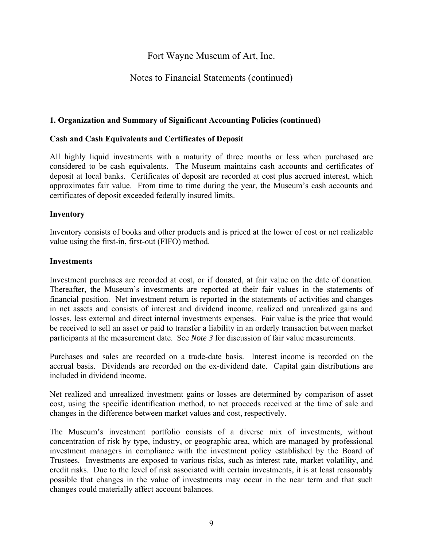## Notes to Financial Statements (continued)

#### **1. Organization and Summary of Significant Accounting Policies (continued)**

#### **Cash and Cash Equivalents and Certificates of Deposit**

All highly liquid investments with a maturity of three months or less when purchased are considered to be cash equivalents. The Museum maintains cash accounts and certificates of deposit at local banks. Certificates of deposit are recorded at cost plus accrued interest, which approximates fair value. From time to time during the year, the Museum's cash accounts and certificates of deposit exceeded federally insured limits.

#### **Inventory**

Inventory consists of books and other products and is priced at the lower of cost or net realizable value using the first-in, first-out (FIFO) method.

#### **Investments**

Investment purchases are recorded at cost, or if donated, at fair value on the date of donation. Thereafter, the Museum's investments are reported at their fair values in the statements of financial position. Net investment return is reported in the statements of activities and changes in net assets and consists of interest and dividend income, realized and unrealized gains and losses, less external and direct internal investments expenses. Fair value is the price that would be received to sell an asset or paid to transfer a liability in an orderly transaction between market participants at the measurement date. See *Note 3* for discussion of fair value measurements.

Purchases and sales are recorded on a trade-date basis. Interest income is recorded on the accrual basis. Dividends are recorded on the ex-dividend date. Capital gain distributions are included in dividend income.

Net realized and unrealized investment gains or losses are determined by comparison of asset cost, using the specific identification method, to net proceeds received at the time of sale and changes in the difference between market values and cost, respectively.

The Museum's investment portfolio consists of a diverse mix of investments, without concentration of risk by type, industry, or geographic area, which are managed by professional investment managers in compliance with the investment policy established by the Board of Trustees. Investments are exposed to various risks, such as interest rate, market volatility, and credit risks. Due to the level of risk associated with certain investments, it is at least reasonably possible that changes in the value of investments may occur in the near term and that such changes could materially affect account balances.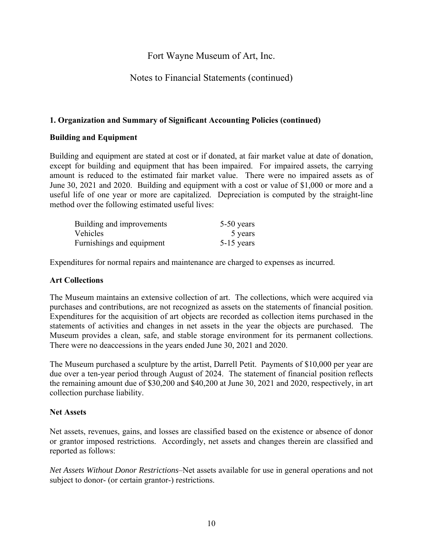## Notes to Financial Statements (continued)

#### **1. Organization and Summary of Significant Accounting Policies (continued)**

#### **Building and Equipment**

Building and equipment are stated at cost or if donated, at fair market value at date of donation, except for building and equipment that has been impaired. For impaired assets, the carrying amount is reduced to the estimated fair market value. There were no impaired assets as of June 30, 2021 and 2020. Building and equipment with a cost or value of \$1,000 or more and a useful life of one year or more are capitalized. Depreciation is computed by the straight-line method over the following estimated useful lives:

| Building and improvements | $5-50$ years |
|---------------------------|--------------|
| Vehicles                  | 5 years      |
| Furnishings and equipment | $5-15$ years |

Expenditures for normal repairs and maintenance are charged to expenses as incurred.

### **Art Collections**

The Museum maintains an extensive collection of art. The collections, which were acquired via purchases and contributions, are not recognized as assets on the statements of financial position. Expenditures for the acquisition of art objects are recorded as collection items purchased in the statements of activities and changes in net assets in the year the objects are purchased. The Museum provides a clean, safe, and stable storage environment for its permanent collections. There were no deaccessions in the years ended June 30, 2021 and 2020.

The Museum purchased a sculpture by the artist, Darrell Petit. Payments of \$10,000 per year are due over a ten-year period through August of 2024. The statement of financial position reflects the remaining amount due of \$30,200 and \$40,200 at June 30, 2021 and 2020, respectively, in art collection purchase liability.

#### **Net Assets**

Net assets, revenues, gains, and losses are classified based on the existence or absence of donor or grantor imposed restrictions. Accordingly, net assets and changes therein are classified and reported as follows:

*Net Assets Without Donor Restrictions*–Net assets available for use in general operations and not subject to donor- (or certain grantor-) restrictions.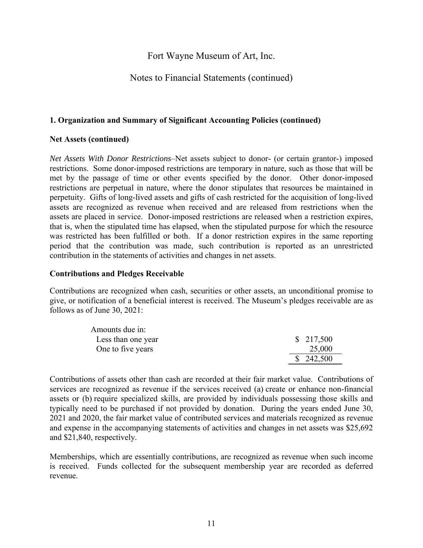### Notes to Financial Statements (continued)

#### **1. Organization and Summary of Significant Accounting Policies (continued)**

#### **Net Assets (continued)**

*Net Assets With Donor Restrictions*–Net assets subject to donor- (or certain grantor-) imposed restrictions. Some donor-imposed restrictions are temporary in nature, such as those that will be met by the passage of time or other events specified by the donor. Other donor-imposed restrictions are perpetual in nature, where the donor stipulates that resources be maintained in perpetuity. Gifts of long-lived assets and gifts of cash restricted for the acquisition of long-lived assets are recognized as revenue when received and are released from restrictions when the assets are placed in service. Donor-imposed restrictions are released when a restriction expires, that is, when the stipulated time has elapsed, when the stipulated purpose for which the resource was restricted has been fulfilled or both. If a donor restriction expires in the same reporting period that the contribution was made, such contribution is reported as an unrestricted contribution in the statements of activities and changes in net assets.

#### **Contributions and Pledges Receivable**

Contributions are recognized when cash, securities or other assets, an unconditional promise to give, or notification of a beneficial interest is received. The Museum's pledges receivable are as follows as of June 30, 2021:

| Amounts due in:    |           |
|--------------------|-----------|
| Less than one year | \$217,500 |
| One to five years  | 25,000    |
|                    | \$242,500 |

Contributions of assets other than cash are recorded at their fair market value. Contributions of services are recognized as revenue if the services received (a) create or enhance non-financial assets or (b) require specialized skills, are provided by individuals possessing those skills and typically need to be purchased if not provided by donation. During the years ended June 30, 2021 and 2020, the fair market value of contributed services and materials recognized as revenue and expense in the accompanying statements of activities and changes in net assets was \$25,692 and \$21,840, respectively.

Memberships, which are essentially contributions, are recognized as revenue when such income is received. Funds collected for the subsequent membership year are recorded as deferred revenue.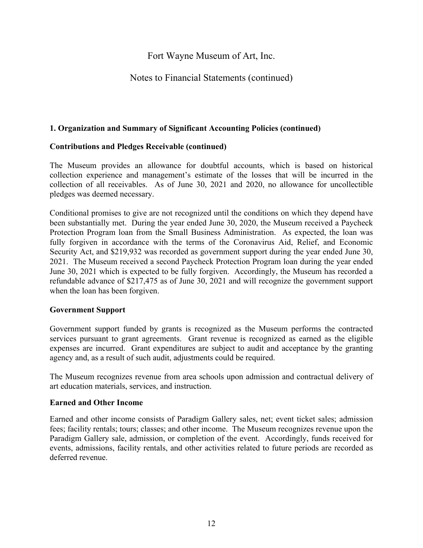## Notes to Financial Statements (continued)

#### **1. Organization and Summary of Significant Accounting Policies (continued)**

#### **Contributions and Pledges Receivable (continued)**

The Museum provides an allowance for doubtful accounts, which is based on historical collection experience and management's estimate of the losses that will be incurred in the collection of all receivables. As of June 30, 2021 and 2020, no allowance for uncollectible pledges was deemed necessary.

Conditional promises to give are not recognized until the conditions on which they depend have been substantially met. During the year ended June 30, 2020, the Museum received a Paycheck Protection Program loan from the Small Business Administration. As expected, the loan was fully forgiven in accordance with the terms of the Coronavirus Aid, Relief, and Economic Security Act, and \$219,932 was recorded as government support during the year ended June 30, 2021. The Museum received a second Paycheck Protection Program loan during the year ended June 30, 2021 which is expected to be fully forgiven. Accordingly, the Museum has recorded a refundable advance of \$217,475 as of June 30, 2021 and will recognize the government support when the loan has been forgiven.

#### **Government Support**

Government support funded by grants is recognized as the Museum performs the contracted services pursuant to grant agreements. Grant revenue is recognized as earned as the eligible expenses are incurred. Grant expenditures are subject to audit and acceptance by the granting agency and, as a result of such audit, adjustments could be required.

The Museum recognizes revenue from area schools upon admission and contractual delivery of art education materials, services, and instruction.

#### **Earned and Other Income**

Earned and other income consists of Paradigm Gallery sales, net; event ticket sales; admission fees; facility rentals; tours; classes; and other income. The Museum recognizes revenue upon the Paradigm Gallery sale, admission, or completion of the event. Accordingly, funds received for events, admissions, facility rentals, and other activities related to future periods are recorded as deferred revenue.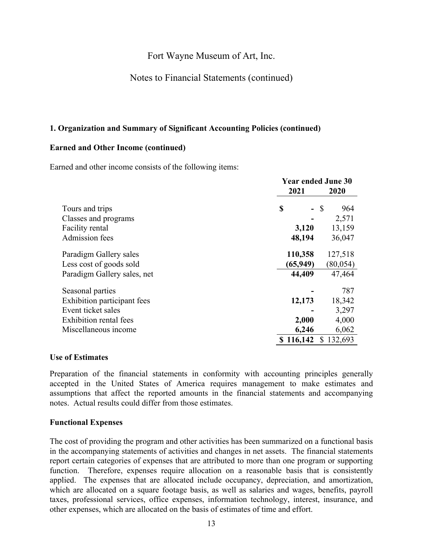## Notes to Financial Statements (continued)

#### **1. Organization and Summary of Significant Accounting Policies (continued)**

#### **Earned and Other Income (continued)**

Earned and other income consists of the following items:

|                             | <b>Year ended June 30</b> |               |  |  |
|-----------------------------|---------------------------|---------------|--|--|
|                             | 2021                      | 2020          |  |  |
|                             |                           |               |  |  |
| Tours and trips             | \$                        | - \$<br>964   |  |  |
| Classes and programs        |                           | 2,571         |  |  |
| Facility rental             | 3,120                     | 13,159        |  |  |
| Admission fees              | 48,194                    | 36,047        |  |  |
| Paradigm Gallery sales      | 110,358                   | 127,518       |  |  |
| Less cost of goods sold     | (65, 949)                 | (80, 054)     |  |  |
| Paradigm Gallery sales, net | 44,409                    | 47,464        |  |  |
| Seasonal parties            |                           | 787           |  |  |
| Exhibition participant fees | 12,173                    | 18,342        |  |  |
| Event ticket sales          |                           | 3,297         |  |  |
| Exhibition rental fees      | 2,000                     | 4,000         |  |  |
| Miscellaneous income        | 6,246                     | 6,062         |  |  |
|                             | \$116,142                 | 132,693<br>\$ |  |  |

#### **Use of Estimates**

Preparation of the financial statements in conformity with accounting principles generally accepted in the United States of America requires management to make estimates and assumptions that affect the reported amounts in the financial statements and accompanying notes. Actual results could differ from those estimates.

#### **Functional Expenses**

The cost of providing the program and other activities has been summarized on a functional basis in the accompanying statements of activities and changes in net assets. The financial statements report certain categories of expenses that are attributed to more than one program or supporting function. Therefore, expenses require allocation on a reasonable basis that is consistently applied. The expenses that are allocated include occupancy, depreciation, and amortization, which are allocated on a square footage basis, as well as salaries and wages, benefits, payroll taxes, professional services, office expenses, information technology, interest, insurance, and other expenses, which are allocated on the basis of estimates of time and effort.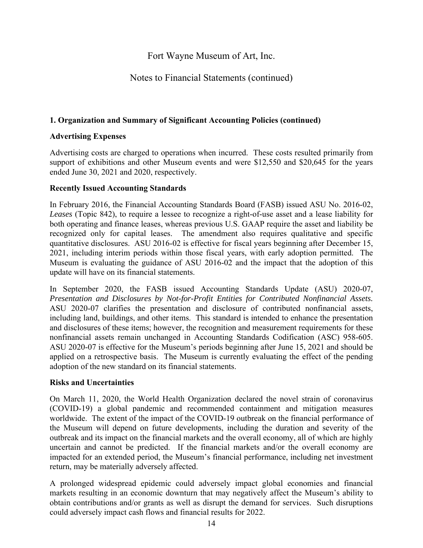## Notes to Financial Statements (continued)

### **1. Organization and Summary of Significant Accounting Policies (continued)**

### **Advertising Expenses**

Advertising costs are charged to operations when incurred. These costs resulted primarily from support of exhibitions and other Museum events and were \$12,550 and \$20,645 for the years ended June 30, 2021 and 2020, respectively.

#### **Recently Issued Accounting Standards**

In February 2016, the Financial Accounting Standards Board (FASB) issued ASU No. 2016-02, *Leases* (Topic 842), to require a lessee to recognize a right-of-use asset and a lease liability for both operating and finance leases, whereas previous U.S. GAAP require the asset and liability be recognized only for capital leases. The amendment also requires qualitative and specific quantitative disclosures. ASU 2016-02 is effective for fiscal years beginning after December 15, 2021, including interim periods within those fiscal years, with early adoption permitted. The Museum is evaluating the guidance of ASU 2016-02 and the impact that the adoption of this update will have on its financial statements.

In September 2020, the FASB issued Accounting Standards Update (ASU) 2020-07, *Presentation and Disclosures by Not-for-Profit Entities for Contributed Nonfinancial Assets.* ASU 2020-07 clarifies the presentation and disclosure of contributed nonfinancial assets, including land, buildings, and other items. This standard is intended to enhance the presentation and disclosures of these items; however, the recognition and measurement requirements for these nonfinancial assets remain unchanged in Accounting Standards Codification (ASC) 958-605. ASU 2020-07 is effective for the Museum's periods beginning after June 15, 2021 and should be applied on a retrospective basis. The Museum is currently evaluating the effect of the pending adoption of the new standard on its financial statements.

### **Risks and Uncertainties**

On March 11, 2020, the World Health Organization declared the novel strain of coronavirus (COVID-19) a global pandemic and recommended containment and mitigation measures worldwide. The extent of the impact of the COVID-19 outbreak on the financial performance of the Museum will depend on future developments, including the duration and severity of the outbreak and its impact on the financial markets and the overall economy, all of which are highly uncertain and cannot be predicted. If the financial markets and/or the overall economy are impacted for an extended period, the Museum's financial performance, including net investment return, may be materially adversely affected.

A prolonged widespread epidemic could adversely impact global economies and financial markets resulting in an economic downturn that may negatively affect the Museum's ability to obtain contributions and/or grants as well as disrupt the demand for services. Such disruptions could adversely impact cash flows and financial results for 2022.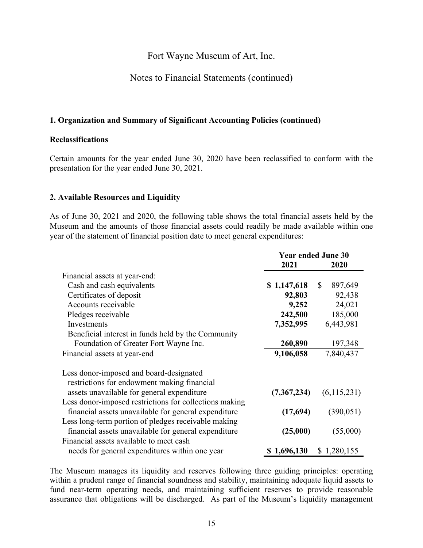## Notes to Financial Statements (continued)

#### **1. Organization and Summary of Significant Accounting Policies (continued)**

#### **Reclassifications**

Certain amounts for the year ended June 30, 2020 have been reclassified to conform with the presentation for the year ended June 30, 2021.

#### **2. Available Resources and Liquidity**

As of June 30, 2021 and 2020, the following table shows the total financial assets held by the Museum and the amounts of those financial assets could readily be made available within one year of the statement of financial position date to meet general expenditures:

|                                                                                        | <b>Year ended June 30</b> |               |  |
|----------------------------------------------------------------------------------------|---------------------------|---------------|--|
|                                                                                        | 2021                      | 2020          |  |
| Financial assets at year-end:                                                          |                           |               |  |
| Cash and cash equivalents                                                              | \$1,147,618               | 897,649<br>\$ |  |
| Certificates of deposit                                                                | 92,803                    | 92,438        |  |
| Accounts receivable                                                                    | 9,252                     | 24,021        |  |
| Pledges receivable                                                                     | 242,500                   | 185,000       |  |
| Investments                                                                            | 7,352,995                 | 6,443,981     |  |
| Beneficial interest in funds held by the Community                                     |                           |               |  |
| Foundation of Greater Fort Wayne Inc.                                                  | 260,890                   | 197,348       |  |
| Financial assets at year-end                                                           | 9,106,058                 | 7,840,437     |  |
| Less donor-imposed and board-designated<br>restrictions for endowment making financial |                           |               |  |
| assets unavailable for general expenditure                                             | (7,367,234)               | (6,115,231)   |  |
| Less donor-imposed restrictions for collections making                                 |                           |               |  |
| financial assets unavailable for general expenditure                                   | (17,694)                  | (390, 051)    |  |
| Less long-term portion of pledges receivable making                                    |                           |               |  |
| financial assets unavailable for general expenditure                                   | (25,000)                  | (55,000)      |  |
| Financial assets available to meet cash                                                |                           |               |  |
| needs for general expenditures within one year                                         | \$1,696,130               | \$1,280,155   |  |

The Museum manages its liquidity and reserves following three guiding principles: operating within a prudent range of financial soundness and stability, maintaining adequate liquid assets to fund near-term operating needs, and maintaining sufficient reserves to provide reasonable assurance that obligations will be discharged. As part of the Museum's liquidity management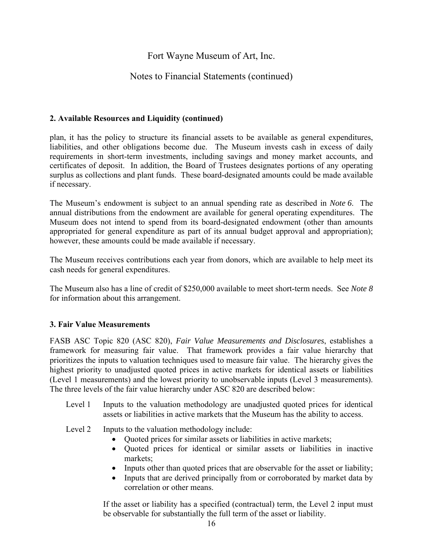## Notes to Financial Statements (continued)

#### **2. Available Resources and Liquidity (continued)**

plan, it has the policy to structure its financial assets to be available as general expenditures, liabilities, and other obligations become due. The Museum invests cash in excess of daily requirements in short-term investments, including savings and money market accounts, and certificates of deposit. In addition, the Board of Trustees designates portions of any operating surplus as collections and plant funds. These board-designated amounts could be made available if necessary.

The Museum's endowment is subject to an annual spending rate as described in *Note 6*. The annual distributions from the endowment are available for general operating expenditures. The Museum does not intend to spend from its board-designated endowment (other than amounts appropriated for general expenditure as part of its annual budget approval and appropriation); however, these amounts could be made available if necessary.

The Museum receives contributions each year from donors, which are available to help meet its cash needs for general expenditures.

The Museum also has a line of credit of \$250,000 available to meet short-term needs. See *Note 8* for information about this arrangement.

#### **3. Fair Value Measurements**

FASB ASC Topic 820 (ASC 820), *Fair Value Measurements and Disclosures*, establishes a framework for measuring fair value. That framework provides a fair value hierarchy that prioritizes the inputs to valuation techniques used to measure fair value. The hierarchy gives the highest priority to unadjusted quoted prices in active markets for identical assets or liabilities (Level 1 measurements) and the lowest priority to unobservable inputs (Level 3 measurements). The three levels of the fair value hierarchy under ASC 820 are described below:

- Level 1 Inputs to the valuation methodology are unadjusted quoted prices for identical assets or liabilities in active markets that the Museum has the ability to access.
- Level 2 Inputs to the valuation methodology include:
	- Quoted prices for similar assets or liabilities in active markets;
	- Quoted prices for identical or similar assets or liabilities in inactive markets;
	- Inputs other than quoted prices that are observable for the asset or liability;
	- Inputs that are derived principally from or corroborated by market data by correlation or other means.

 If the asset or liability has a specified (contractual) term, the Level 2 input must be observable for substantially the full term of the asset or liability.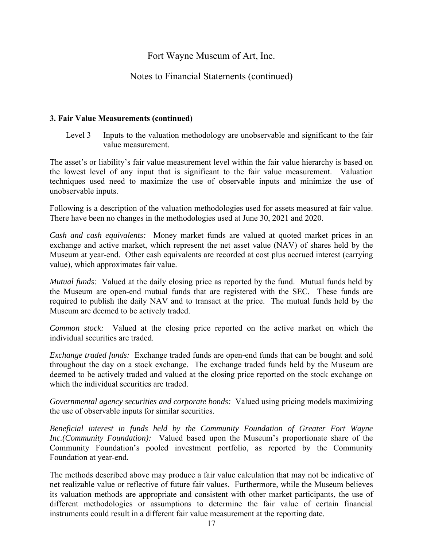## Notes to Financial Statements (continued)

#### **3. Fair Value Measurements (continued)**

Level 3 Inputs to the valuation methodology are unobservable and significant to the fair value measurement.

The asset's or liability's fair value measurement level within the fair value hierarchy is based on the lowest level of any input that is significant to the fair value measurement. Valuation techniques used need to maximize the use of observable inputs and minimize the use of unobservable inputs.

Following is a description of the valuation methodologies used for assets measured at fair value. There have been no changes in the methodologies used at June 30, 2021 and 2020.

*Cash and cash equivalents:* Money market funds are valued at quoted market prices in an exchange and active market, which represent the net asset value (NAV) of shares held by the Museum at year-end. Other cash equivalents are recorded at cost plus accrued interest (carrying value), which approximates fair value.

*Mutual funds*: Valued at the daily closing price as reported by the fund. Mutual funds held by the Museum are open-end mutual funds that are registered with the SEC. These funds are required to publish the daily NAV and to transact at the price. The mutual funds held by the Museum are deemed to be actively traded.

*Common stock:* Valued at the closing price reported on the active market on which the individual securities are traded.

*Exchange traded funds:* Exchange traded funds are open-end funds that can be bought and sold throughout the day on a stock exchange. The exchange traded funds held by the Museum are deemed to be actively traded and valued at the closing price reported on the stock exchange on which the individual securities are traded.

*Governmental agency securities and corporate bonds:* Valued using pricing models maximizing the use of observable inputs for similar securities.

*Beneficial interest in funds held by the Community Foundation of Greater Fort Wayne Inc.(Community Foundation):* Valued based upon the Museum's proportionate share of the Community Foundation's pooled investment portfolio, as reported by the Community Foundation at year-end.

The methods described above may produce a fair value calculation that may not be indicative of net realizable value or reflective of future fair values. Furthermore, while the Museum believes its valuation methods are appropriate and consistent with other market participants, the use of different methodologies or assumptions to determine the fair value of certain financial instruments could result in a different fair value measurement at the reporting date.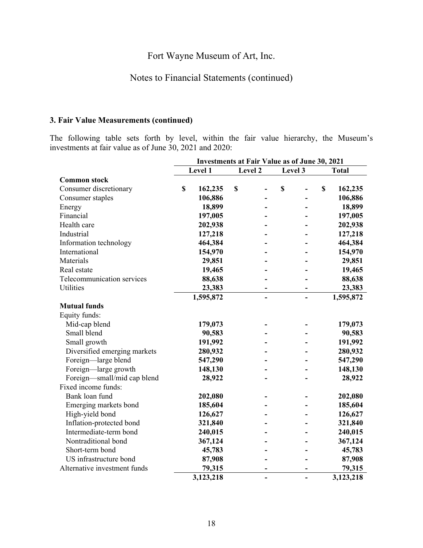## Notes to Financial Statements (continued)

#### **3. Fair Value Measurements (continued)**

The following table sets forth by level, within the fair value hierarchy, the Museum's investments at fair value as of June 30, 2021 and 2020:

|                              | <b>Investments at Fair Value as of June 30, 2021</b> |           |    |                |    |         |    |              |
|------------------------------|------------------------------------------------------|-----------|----|----------------|----|---------|----|--------------|
|                              | Level 1                                              |           |    | Level 2        |    | Level 3 |    | <b>Total</b> |
| <b>Common stock</b>          |                                                      |           |    |                |    |         |    |              |
| Consumer discretionary       | \$                                                   | 162,235   | \$ |                | \$ |         | \$ | 162,235      |
| Consumer staples             |                                                      | 106,886   |    |                |    |         |    | 106,886      |
| Energy                       |                                                      | 18,899    |    |                |    |         |    | 18,899       |
| Financial                    |                                                      | 197,005   |    |                |    |         |    | 197,005      |
| Health care                  |                                                      | 202,938   |    |                |    |         |    | 202,938      |
| Industrial                   |                                                      | 127,218   |    |                |    |         |    | 127,218      |
| Information technology       |                                                      | 464,384   |    |                |    |         |    | 464,384      |
| International                |                                                      | 154,970   |    |                |    |         |    | 154,970      |
| Materials                    |                                                      | 29,851    |    |                |    |         |    | 29,851       |
| Real estate                  |                                                      | 19,465    |    |                |    |         |    | 19,465       |
| Telecommunication services   |                                                      | 88,638    |    |                |    |         |    | 88,638       |
| <b>Utilities</b>             |                                                      | 23,383    |    | $\overline{a}$ |    |         |    | 23,383       |
|                              |                                                      | 1,595,872 |    | L,             |    |         |    | 1,595,872    |
| <b>Mutual funds</b>          |                                                      |           |    |                |    |         |    |              |
| Equity funds:                |                                                      |           |    |                |    |         |    |              |
| Mid-cap blend                |                                                      | 179,073   |    |                |    |         |    | 179,073      |
| Small blend                  |                                                      | 90,583    |    |                |    |         |    | 90,583       |
| Small growth                 |                                                      | 191,992   |    |                |    |         |    | 191,992      |
| Diversified emerging markets |                                                      | 280,932   |    |                |    |         |    | 280,932      |
| Foreign-large blend          |                                                      | 547,290   |    |                |    |         |    | 547,290      |
| Foreign-large growth         |                                                      | 148,130   |    |                |    |         |    | 148,130      |
| Foreign-small/mid cap blend  |                                                      | 28,922    |    |                |    |         |    | 28,922       |
| Fixed income funds:          |                                                      |           |    |                |    |         |    |              |
| Bank loan fund               |                                                      | 202,080   |    |                |    |         |    | 202,080      |
| Emerging markets bond        |                                                      | 185,604   |    |                |    |         |    | 185,604      |
| High-yield bond              |                                                      | 126,627   |    |                |    |         |    | 126,627      |
| Inflation-protected bond     |                                                      | 321,840   |    |                |    |         |    | 321,840      |
| Intermediate-term bond       |                                                      | 240,015   |    |                |    |         |    | 240,015      |
| Nontraditional bond          |                                                      | 367,124   |    |                |    |         |    | 367,124      |
| Short-term bond              |                                                      | 45,783    |    |                |    |         |    | 45,783       |
| US infrastructure bond       |                                                      | 87,908    |    |                |    |         |    | 87,908       |
| Alternative investment funds |                                                      | 79,315    |    |                |    |         |    | 79,315       |
|                              |                                                      | 3,123,218 |    | $\blacksquare$ |    |         |    | 3,123,218    |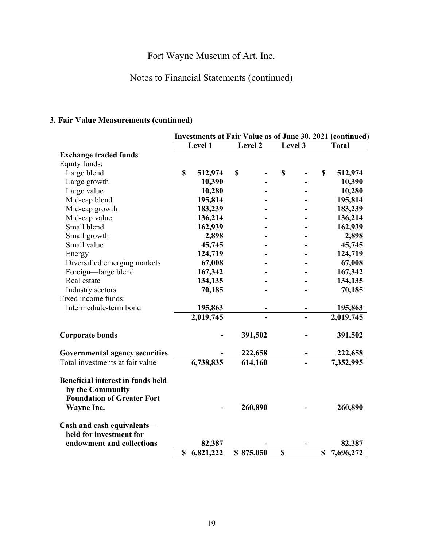# Notes to Financial Statements (continued)

## **3. Fair Value Measurements (continued)**

|                                                                                                                 |             |           |             |                          |    |         |             | Investments at Fair Value as of June 30, 2021 (continued) |
|-----------------------------------------------------------------------------------------------------------------|-------------|-----------|-------------|--------------------------|----|---------|-------------|-----------------------------------------------------------|
|                                                                                                                 |             | Level 1   |             | Level 2                  |    | Level 3 |             | <b>Total</b>                                              |
| <b>Exchange traded funds</b>                                                                                    |             |           |             |                          |    |         |             |                                                           |
| Equity funds:                                                                                                   |             |           |             |                          |    |         |             |                                                           |
| Large blend                                                                                                     | $\mathbb S$ | 512,974   | $\mathbf S$ |                          | \$ |         | $\mathbf S$ | 512,974                                                   |
| Large growth                                                                                                    |             | 10,390    |             |                          |    |         |             | 10,390                                                    |
| Large value                                                                                                     |             | 10,280    |             |                          |    |         |             | 10,280                                                    |
| Mid-cap blend                                                                                                   |             | 195,814   |             |                          |    |         |             | 195,814                                                   |
| Mid-cap growth                                                                                                  |             | 183,239   |             |                          |    |         |             | 183,239                                                   |
| Mid-cap value                                                                                                   |             | 136,214   |             |                          |    |         |             | 136,214                                                   |
| Small blend                                                                                                     |             | 162,939   |             |                          |    |         |             | 162,939                                                   |
| Small growth                                                                                                    |             | 2,898     |             |                          |    |         |             | 2,898                                                     |
| Small value                                                                                                     |             | 45,745    |             |                          |    |         |             | 45,745                                                    |
| Energy                                                                                                          |             | 124,719   |             |                          |    |         |             | 124,719                                                   |
| Diversified emerging markets                                                                                    |             | 67,008    |             |                          |    |         |             | 67,008                                                    |
| Foreign-large blend                                                                                             |             | 167,342   |             |                          |    |         |             | 167,342                                                   |
| Real estate                                                                                                     |             | 134,135   |             |                          |    |         |             | 134,135                                                   |
| Industry sectors                                                                                                |             | 70,185    |             |                          |    |         |             | 70,185                                                    |
| Fixed income funds:                                                                                             |             |           |             |                          |    |         |             |                                                           |
| Intermediate-term bond                                                                                          |             | 195,863   |             | $\overline{\phantom{a}}$ |    |         |             | 195,863                                                   |
|                                                                                                                 |             | 2,019,745 |             |                          |    |         |             | 2,019,745                                                 |
| <b>Corporate bonds</b>                                                                                          |             |           | 391,502     |                          |    |         |             | 391,502                                                   |
| <b>Governmental agency securities</b>                                                                           |             |           | 222,658     |                          |    |         |             | 222,658                                                   |
| Total investments at fair value                                                                                 |             | 6,738,835 | 614,160     |                          |    |         |             | 7,352,995                                                 |
| <b>Beneficial interest in funds held</b><br>by the Community<br><b>Foundation of Greater Fort</b><br>Wayne Inc. |             |           | 260,890     |                          |    |         |             | 260,890                                                   |
|                                                                                                                 |             |           |             |                          |    |         |             |                                                           |
| Cash and cash equivalents-<br>held for investment for                                                           |             |           |             |                          |    |         |             |                                                           |
| endowment and collections                                                                                       |             | 82,387    |             |                          |    |         |             | 82,387                                                    |
|                                                                                                                 | \$          | 6,821,222 | \$875,050   |                          | \$ |         | \$          | 7,696,272                                                 |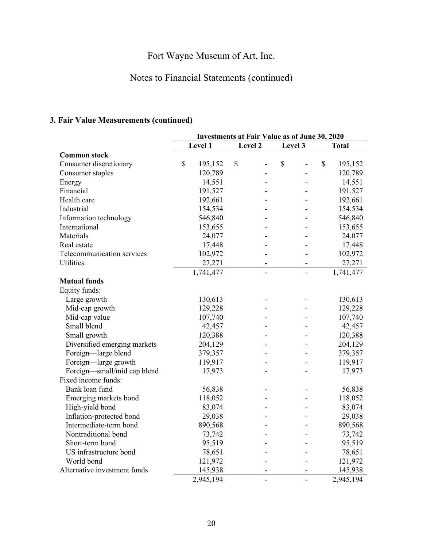# Notes to Financial Statements (continued)

## **3. Fair Value Measurements (continued)**

|                              | <b>Investments at Fair Value as of June 30, 2020</b> |           |         |                |         |                |              |              |
|------------------------------|------------------------------------------------------|-----------|---------|----------------|---------|----------------|--------------|--------------|
|                              |                                                      | Level 1   | Level 2 |                | Level 3 |                |              | <b>Total</b> |
| <b>Common stock</b>          |                                                      |           |         |                |         |                |              |              |
| Consumer discretionary       | \$                                                   | 195,152   | \$      |                | \$      |                | $\mathbb{S}$ | 195,152      |
| Consumer staples             |                                                      | 120,789   |         |                |         |                |              | 120,789      |
| Energy                       |                                                      | 14,551    |         |                |         |                |              | 14,551       |
| Financial                    |                                                      | 191,527   |         |                |         |                |              | 191,527      |
| Health care                  |                                                      | 192,661   |         |                |         |                |              | 192,661      |
| Industrial                   |                                                      | 154,534   |         |                |         |                |              | 154,534      |
| Information technology       |                                                      | 546,840   |         |                |         |                |              | 546,840      |
| International                |                                                      | 153,655   |         |                |         |                |              | 153,655      |
| Materials                    |                                                      | 24,077    |         |                |         |                |              | 24,077       |
| Real estate                  |                                                      | 17,448    |         |                |         |                |              | 17,448       |
| Telecommunication services   |                                                      | 102,972   |         |                |         |                |              | 102,972      |
| <b>Utilities</b>             |                                                      | 27,271    |         |                |         |                |              | 27,271       |
|                              |                                                      | 1,741,477 |         | $\overline{a}$ |         |                |              | 1,741,477    |
| <b>Mutual funds</b>          |                                                      |           |         |                |         |                |              |              |
| Equity funds:                |                                                      |           |         |                |         |                |              |              |
| Large growth                 |                                                      | 130,613   |         |                |         |                |              | 130,613      |
| Mid-cap growth               |                                                      | 129,228   |         |                |         |                |              | 129,228      |
| Mid-cap value                |                                                      | 107,740   |         |                |         |                |              | 107,740      |
| Small blend                  |                                                      | 42,457    |         |                |         |                |              | 42,457       |
| Small growth                 |                                                      | 120,388   |         |                |         |                |              | 120,388      |
| Diversified emerging markets |                                                      | 204,129   |         |                |         |                |              | 204,129      |
| Foreign-large blend          |                                                      | 379,357   |         |                |         |                |              | 379,357      |
| Foreign-large growth         |                                                      | 119,917   |         |                |         |                |              | 119,917      |
| Foreign-small/mid cap blend  |                                                      | 17,973    |         |                |         |                |              | 17,973       |
| Fixed income funds:          |                                                      |           |         |                |         |                |              |              |
| Bank loan fund               |                                                      | 56,838    |         |                |         |                |              | 56,838       |
| Emerging markets bond        |                                                      | 118,052   |         |                |         |                |              | 118,052      |
| High-yield bond              |                                                      | 83,074    |         |                |         |                |              | 83,074       |
| Inflation-protected bond     |                                                      | 29,038    |         |                |         |                |              | 29,038       |
| Intermediate-term bond       |                                                      | 890,568   |         |                |         |                |              | 890,568      |
| Nontraditional bond          |                                                      | 73,742    |         |                |         |                |              | 73,742       |
| Short-term bond              |                                                      | 95,519    |         |                |         |                |              | 95,519       |
| US infrastructure bond       |                                                      | 78,651    |         |                |         |                |              | 78,651       |
| World bond                   |                                                      | 121,972   |         |                |         |                |              | 121,972      |
| Alternative investment funds |                                                      | 145,938   |         |                |         |                |              | 145,938      |
|                              |                                                      | 2,945,194 |         | $\overline{a}$ |         | $\overline{a}$ |              | 2,945,194    |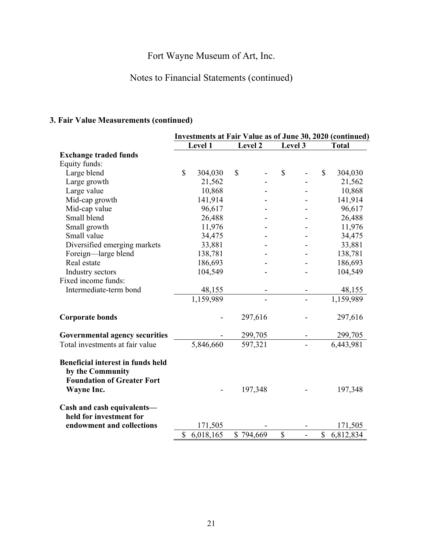# Notes to Financial Statements (continued)

## **3. Fair Value Measurements (continued)**

| Investments at Fair Value as of June 30, 2020 (continued)                                         |    |                    |              |                          |         |  |              |              |
|---------------------------------------------------------------------------------------------------|----|--------------------|--------------|--------------------------|---------|--|--------------|--------------|
|                                                                                                   |    | Level 1<br>Level 2 |              |                          | Level 3 |  |              | <b>Total</b> |
| <b>Exchange traded funds</b>                                                                      |    |                    |              |                          |         |  |              |              |
| Equity funds:                                                                                     |    |                    |              |                          |         |  |              |              |
| Large blend                                                                                       | \$ | 304,030            | $\mathbb{S}$ |                          | \$      |  | $\mathbb{S}$ | 304,030      |
| Large growth                                                                                      |    | 21,562             |              |                          |         |  |              | 21,562       |
| Large value                                                                                       |    | 10,868             |              |                          |         |  |              | 10,868       |
| Mid-cap growth                                                                                    |    | 141,914            |              |                          |         |  |              | 141,914      |
| Mid-cap value                                                                                     |    | 96,617             |              |                          |         |  |              | 96,617       |
| Small blend                                                                                       |    | 26,488             |              |                          |         |  |              | 26,488       |
| Small growth                                                                                      |    | 11,976             |              |                          |         |  |              | 11,976       |
| Small value                                                                                       |    | 34,475             |              |                          |         |  |              | 34,475       |
| Diversified emerging markets                                                                      |    | 33,881             |              |                          |         |  |              | 33,881       |
| Foreign-large blend                                                                               |    | 138,781            |              |                          |         |  |              | 138,781      |
| Real estate                                                                                       |    | 186,693            |              |                          |         |  |              | 186,693      |
| Industry sectors                                                                                  |    | 104,549            |              |                          |         |  |              | 104,549      |
| Fixed income funds:                                                                               |    |                    |              |                          |         |  |              |              |
| Intermediate-term bond                                                                            |    | 48,155             |              |                          |         |  |              | 48,155       |
|                                                                                                   |    | 1,159,989          |              | $\overline{\phantom{0}}$ |         |  |              | 1,159,989    |
| <b>Corporate bonds</b>                                                                            |    |                    | 297,616      |                          |         |  |              | 297,616      |
| <b>Governmental agency securities</b>                                                             |    |                    | 299,705      |                          |         |  |              | 299,705      |
| Total investments at fair value                                                                   |    | 5,846,660          | 597,321      |                          |         |  |              | 6,443,981    |
| <b>Beneficial interest in funds held</b><br>by the Community<br><b>Foundation of Greater Fort</b> |    |                    |              |                          |         |  |              |              |
| Wayne Inc.                                                                                        |    |                    | 197,348      |                          |         |  |              | 197,348      |
| Cash and cash equivalents-<br>held for investment for                                             |    |                    |              |                          |         |  |              |              |
| endowment and collections                                                                         |    | 171,505            |              |                          |         |  |              | 171,505      |
|                                                                                                   | \$ | 6,018,165          | \$794,669    |                          | \$      |  | \$           | 6,812,834    |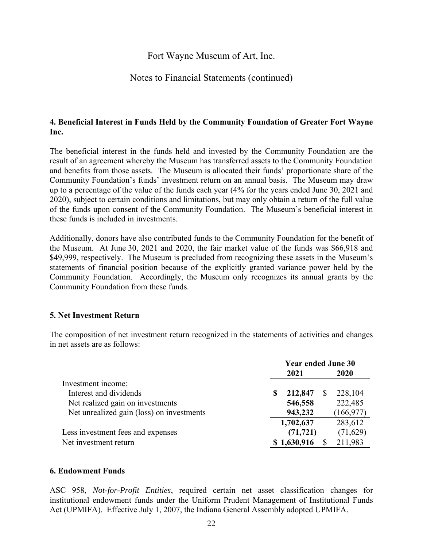### Notes to Financial Statements (continued)

### **4. Beneficial Interest in Funds Held by the Community Foundation of Greater Fort Wayne Inc.**

The beneficial interest in the funds held and invested by the Community Foundation are the result of an agreement whereby the Museum has transferred assets to the Community Foundation and benefits from those assets. The Museum is allocated their funds' proportionate share of the Community Foundation's funds' investment return on an annual basis. The Museum may draw up to a percentage of the value of the funds each year (4% for the years ended June 30, 2021 and 2020), subject to certain conditions and limitations, but may only obtain a return of the full value of the funds upon consent of the Community Foundation. The Museum's beneficial interest in these funds is included in investments.

Additionally, donors have also contributed funds to the Community Foundation for the benefit of the Museum. At June 30, 2021 and 2020, the fair market value of the funds was \$66,918 and \$49,999, respectively. The Museum is precluded from recognizing these assets in the Museum's statements of financial position because of the explicitly granted variance power held by the Community Foundation. Accordingly, the Museum only recognizes its annual grants by the Community Foundation from these funds.

#### **5. Net Investment Return**

The composition of net investment return recognized in the statements of activities and changes in net assets are as follows:

|                                           | <b>Year ended June 30</b> |             |              |            |  |
|-------------------------------------------|---------------------------|-------------|--------------|------------|--|
|                                           |                           | 2021        |              | 2020       |  |
| Investment income:                        |                           |             |              |            |  |
| Interest and dividends                    | S                         | 212,847     | $\mathbb{S}$ | 228,104    |  |
| Net realized gain on investments          |                           | 546,558     |              | 222,485    |  |
| Net unrealized gain (loss) on investments |                           | 943,232     |              | (166, 977) |  |
|                                           |                           | 1,702,637   |              | 283,612    |  |
| Less investment fees and expenses         |                           | (71, 721)   |              | (71, 629)  |  |
| Net investment return                     |                           | \$1,630,916 |              | 211,983    |  |

#### **6. Endowment Funds**

ASC 958, *Not-for-Profit Entities*, required certain net asset classification changes for institutional endowment funds under the Uniform Prudent Management of Institutional Funds Act (UPMIFA). Effective July 1, 2007, the Indiana General Assembly adopted UPMIFA.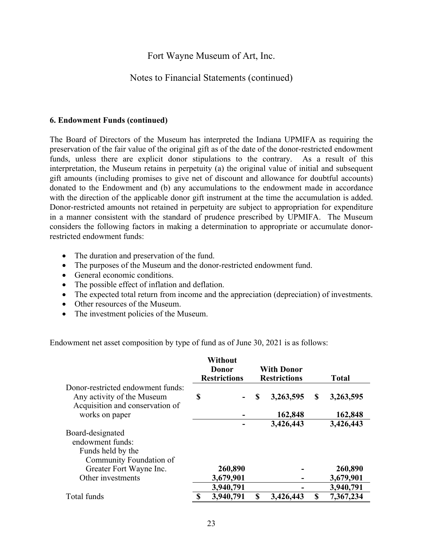### Notes to Financial Statements (continued)

#### **6. Endowment Funds (continued)**

The Board of Directors of the Museum has interpreted the Indiana UPMIFA as requiring the preservation of the fair value of the original gift as of the date of the donor-restricted endowment funds, unless there are explicit donor stipulations to the contrary. As a result of this interpretation, the Museum retains in perpetuity (a) the original value of initial and subsequent gift amounts (including promises to give net of discount and allowance for doubtful accounts) donated to the Endowment and (b) any accumulations to the endowment made in accordance with the direction of the applicable donor gift instrument at the time the accumulation is added. Donor-restricted amounts not retained in perpetuity are subject to appropriation for expenditure in a manner consistent with the standard of prudence prescribed by UPMIFA. The Museum considers the following factors in making a determination to appropriate or accumulate donorrestricted endowment funds:

- The duration and preservation of the fund.
- The purposes of the Museum and the donor-restricted endowment fund.
- General economic conditions.
- The possible effect of inflation and deflation.
- The expected total return from income and the appreciation (depreciation) of investments.
- Other resources of the Museum.
- The investment policies of the Museum.

Endowment net asset composition by type of fund as of June 30, 2021 is as follows:

|                                                                                                    | Without<br>Donor<br><b>Restrictions</b> |           |    | <b>With Donor</b><br><b>Restrictions</b> | <b>Total</b> |           |  |
|----------------------------------------------------------------------------------------------------|-----------------------------------------|-----------|----|------------------------------------------|--------------|-----------|--|
| Donor-restricted endowment funds:<br>Any activity of the Museum<br>Acquisition and conservation of | \$                                      |           | \$ | 3,263,595                                | \$           | 3,263,595 |  |
| works on paper                                                                                     |                                         |           |    | 162,848                                  |              | 162,848   |  |
|                                                                                                    |                                         |           |    | 3,426,443                                |              | 3,426,443 |  |
| Board-designated                                                                                   |                                         |           |    |                                          |              |           |  |
| endowment funds:                                                                                   |                                         |           |    |                                          |              |           |  |
| Funds held by the                                                                                  |                                         |           |    |                                          |              |           |  |
| Community Foundation of                                                                            |                                         |           |    |                                          |              |           |  |
| Greater Fort Wayne Inc.                                                                            |                                         | 260,890   |    |                                          |              | 260,890   |  |
| Other investments                                                                                  |                                         | 3,679,901 |    |                                          |              | 3,679,901 |  |
|                                                                                                    |                                         | 3,940,791 |    |                                          |              | 3,940,791 |  |
| Total funds                                                                                        | S                                       | 3,940,791 | S  | 3,426,443                                | \$           | 7,367,234 |  |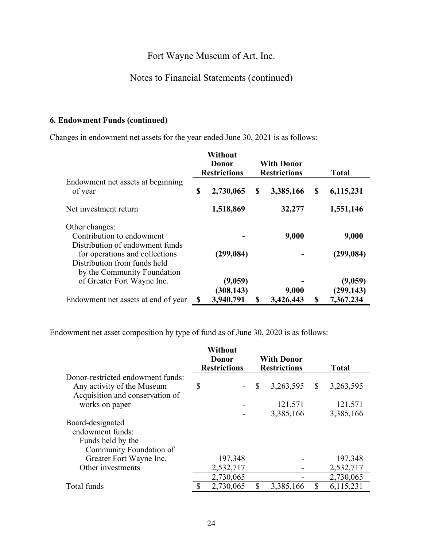# Notes to Financial Statements (continued)

## **6. Endowment Funds (continued)**

Changes in endowment net assets for the year ended June 30, 2021 is as follows:

|                                                                                                   | <b>Without</b><br>Donor |                     |    | <b>With Donor</b>   |    |              |
|---------------------------------------------------------------------------------------------------|-------------------------|---------------------|----|---------------------|----|--------------|
| Endowment net assets at beginning                                                                 |                         | <b>Restrictions</b> |    | <b>Restrictions</b> |    | <b>Total</b> |
| of year                                                                                           | \$                      | 2,730,065           | \$ | 3,385,166           | \$ | 6,115,231    |
| Net investment return                                                                             |                         | 1,518,869           |    | 32,277              |    | 1,551,146    |
| Other changes:                                                                                    |                         |                     |    |                     |    |              |
| Contribution to endowment                                                                         |                         |                     |    | 9,000               |    | 9,000        |
| Distribution of endowment funds<br>for operations and collections<br>Distribution from funds held |                         | (299, 084)          |    |                     |    | (299, 084)   |
| by the Community Foundation                                                                       |                         |                     |    |                     |    |              |
| of Greater Fort Wayne Inc.                                                                        |                         | (9,059)             |    |                     |    | (9,059)      |
|                                                                                                   |                         | (308, 143)          |    | 9,000               |    | (299, 143)   |
| Endowment net assets at end of year                                                               | S,                      | 3,940,791           | S  | 3,426,443           | S  | 7,367,234    |

Endowment net asset composition by type of fund as of June 30, 2020 is as follows:

|                                                                                                    | <b>Without</b><br>Donor<br><b>Restrictions</b> | <b>With Donor</b><br><b>Restrictions</b> | <b>Total</b>    |
|----------------------------------------------------------------------------------------------------|------------------------------------------------|------------------------------------------|-----------------|
| Donor-restricted endowment funds:<br>Any activity of the Museum<br>Acquisition and conservation of | \$                                             | \$<br>3,263,595                          | \$<br>3,263,595 |
| works on paper                                                                                     |                                                | 121,571                                  | 121,571         |
|                                                                                                    |                                                | 3,385,166                                | 3,385,166       |
| Board-designated<br>endowment funds:<br>Funds held by the<br>Community Foundation of               |                                                |                                          |                 |
| Greater Fort Wayne Inc.                                                                            | 197,348                                        |                                          | 197,348         |
| Other investments                                                                                  | 2,532,717                                      |                                          | 2,532,717       |
|                                                                                                    | 2,730,065                                      |                                          | 2,730,065       |
| Total funds                                                                                        | 2,730,065                                      | 3,385,166                                | \$<br>6,115,231 |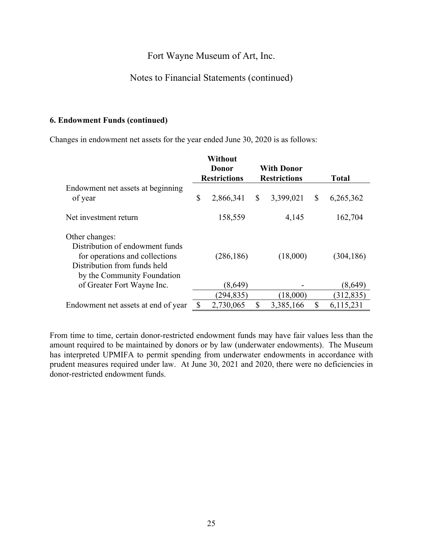## Notes to Financial Statements (continued)

#### **6. Endowment Funds (continued)**

Changes in endowment net assets for the year ended June 30, 2020 is as follows:

|                                                                                                                                                    | <b>Without</b><br>Donor<br><b>Restrictions</b> | <b>With Donor</b><br><b>Restrictions</b> |    | <b>Total</b> |
|----------------------------------------------------------------------------------------------------------------------------------------------------|------------------------------------------------|------------------------------------------|----|--------------|
| Endowment net assets at beginning<br>of year                                                                                                       | \$<br>2,866,341                                | \$<br>3,399,021                          | \$ | 6,265,362    |
| Net investment return                                                                                                                              | 158,559                                        | 4,145                                    |    | 162,704      |
| Other changes:<br>Distribution of endowment funds<br>for operations and collections<br>Distribution from funds held<br>by the Community Foundation | (286, 186)                                     | (18,000)                                 |    | (304, 186)   |
| of Greater Fort Wayne Inc.                                                                                                                         | (8,649)                                        |                                          |    | (8,649)      |
|                                                                                                                                                    | (294, 835)                                     | (18,000)                                 |    | (312, 835)   |
| Endowment net assets at end of year                                                                                                                | 2,730,065                                      | 3,385,166                                | S  | 6,115,231    |

From time to time, certain donor-restricted endowment funds may have fair values less than the amount required to be maintained by donors or by law (underwater endowments). The Museum has interpreted UPMIFA to permit spending from underwater endowments in accordance with prudent measures required under law. At June 30, 2021 and 2020, there were no deficiencies in donor-restricted endowment funds.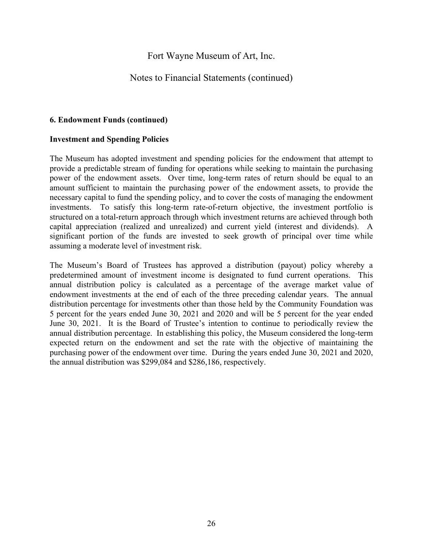## Notes to Financial Statements (continued)

#### **6. Endowment Funds (continued)**

#### **Investment and Spending Policies**

The Museum has adopted investment and spending policies for the endowment that attempt to provide a predictable stream of funding for operations while seeking to maintain the purchasing power of the endowment assets. Over time, long-term rates of return should be equal to an amount sufficient to maintain the purchasing power of the endowment assets, to provide the necessary capital to fund the spending policy, and to cover the costs of managing the endowment investments. To satisfy this long-term rate-of-return objective, the investment portfolio is structured on a total-return approach through which investment returns are achieved through both capital appreciation (realized and unrealized) and current yield (interest and dividends). A significant portion of the funds are invested to seek growth of principal over time while assuming a moderate level of investment risk.

The Museum's Board of Trustees has approved a distribution (payout) policy whereby a predetermined amount of investment income is designated to fund current operations. This annual distribution policy is calculated as a percentage of the average market value of endowment investments at the end of each of the three preceding calendar years. The annual distribution percentage for investments other than those held by the Community Foundation was 5 percent for the years ended June 30, 2021 and 2020 and will be 5 percent for the year ended June 30, 2021. It is the Board of Trustee's intention to continue to periodically review the annual distribution percentage. In establishing this policy, the Museum considered the long-term expected return on the endowment and set the rate with the objective of maintaining the purchasing power of the endowment over time. During the years ended June 30, 2021 and 2020, the annual distribution was \$299,084 and \$286,186, respectively.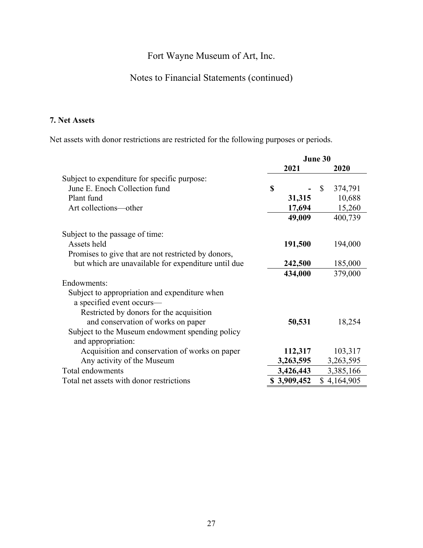# Notes to Financial Statements (continued)

## **7. Net Assets**

Net assets with donor restrictions are restricted for the following purposes or periods.

|                                                     | June 30     |             |          |             |  |
|-----------------------------------------------------|-------------|-------------|----------|-------------|--|
|                                                     |             | 2021        |          | 2020        |  |
| Subject to expenditure for specific purpose:        |             |             |          |             |  |
| June E. Enoch Collection fund                       | $\mathbf S$ |             | <b>S</b> | 374,791     |  |
| Plant fund                                          |             | 31,315      |          | 10,688      |  |
| Art collections—other                               |             | 17,694      |          | 15,260      |  |
|                                                     |             | 49,009      |          | 400,739     |  |
| Subject to the passage of time:                     |             |             |          |             |  |
| Assets held                                         |             | 191,500     |          | 194,000     |  |
| Promises to give that are not restricted by donors, |             |             |          |             |  |
| but which are unavailable for expenditure until due |             | 242,500     |          | 185,000     |  |
|                                                     |             | 434,000     |          | 379,000     |  |
| Endowments:                                         |             |             |          |             |  |
| Subject to appropriation and expenditure when       |             |             |          |             |  |
| a specified event occurs-                           |             |             |          |             |  |
| Restricted by donors for the acquisition            |             |             |          |             |  |
| and conservation of works on paper                  |             | 50,531      |          | 18,254      |  |
| Subject to the Museum endowment spending policy     |             |             |          |             |  |
| and appropriation:                                  |             |             |          |             |  |
| Acquisition and conservation of works on paper      |             | 112,317     |          | 103,317     |  |
| Any activity of the Museum                          |             | 3,263,595   |          | 3,263,595   |  |
| Total endowments                                    |             | 3,426,443   |          | 3,385,166   |  |
| Total net assets with donor restrictions            |             | \$3,909,452 |          | \$4,164,905 |  |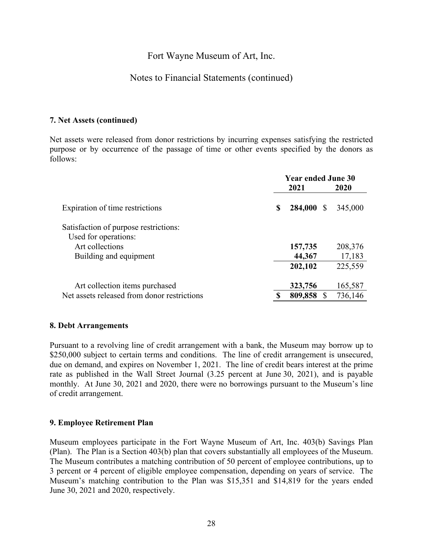## Notes to Financial Statements (continued)

#### **7. Net Assets (continued)**

Net assets were released from donor restrictions by incurring expenses satisfying the restricted purpose or by occurrence of the passage of time or other events specified by the donors as follows:

|                                                               |   | <b>Year ended June 30</b><br>2020 |         |  |
|---------------------------------------------------------------|---|-----------------------------------|---------|--|
| Expiration of time restrictions                               | S | 284,000<br>\$                     | 345,000 |  |
| Satisfaction of purpose restrictions:<br>Used for operations: |   |                                   |         |  |
| Art collections                                               |   | 157,735                           | 208,376 |  |
| Building and equipment                                        |   | 44,367                            | 17,183  |  |
|                                                               |   | 202,102                           | 225,559 |  |
| Art collection items purchased                                |   | 323,756                           | 165,587 |  |
| Net assets released from donor restrictions                   | ¢ | 809,858                           | 736,146 |  |

#### **8. Debt Arrangements**

Pursuant to a revolving line of credit arrangement with a bank, the Museum may borrow up to \$250,000 subject to certain terms and conditions. The line of credit arrangement is unsecured, due on demand, and expires on November 1, 2021. The line of credit bears interest at the prime rate as published in the Wall Street Journal (3.25 percent at June 30, 2021), and is payable monthly. At June 30, 2021 and 2020, there were no borrowings pursuant to the Museum's line of credit arrangement.

#### **9. Employee Retirement Plan**

Museum employees participate in the Fort Wayne Museum of Art, Inc. 403(b) Savings Plan (Plan). The Plan is a Section 403(b) plan that covers substantially all employees of the Museum. The Museum contributes a matching contribution of 50 percent of employee contributions, up to 3 percent or 4 percent of eligible employee compensation, depending on years of service. The Museum's matching contribution to the Plan was \$15,351 and \$14,819 for the years ended June 30, 2021 and 2020, respectively.